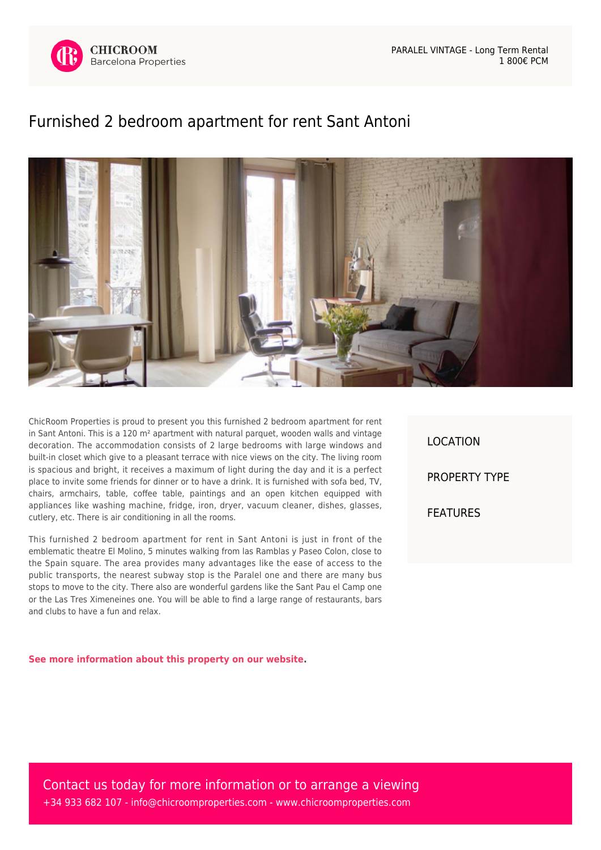

## [Furnished 2 bedroom apartment for rent Sant Antoni](https://www.chicroomproperties.com/en/property/542/furnished-2-bedroom-apartment-for-rent-sant-antoni/)



ChicRoom Properties is proud to present you this furnished 2 bedroom apartment for rent in Sant Antoni. This is a 120  $m<sup>2</sup>$  apartment with natural parquet, wooden walls and vintage decoration. The accommodation consists of 2 large bedrooms with large windows and built-in closet which give to a pleasant terrace with nice views on the city. The living room is spacious and bright, it receives a maximum of light during the day and it is a perfect place to invite some friends for dinner or to have a drink. It is furnished with sofa bed, TV, chairs, armchairs, table, coffee table, paintings and an open kitchen equipped with appliances like washing machine, fridge, iron, dryer, vacuum cleaner, dishes, glasses, cutlery, etc. There is air conditioning in all the rooms.

This furnished 2 bedroom apartment for rent in Sant Antoni is just in front of the emblematic theatre El Molino, 5 minutes walking from las Ramblas y Paseo Colon, close to the Spain square. The area provides many advantages like the ease of access to the public transports, the nearest subway stop is the Paralel one and there are many bus stops to move to the city. There also are wonderful gardens like the Sant Pau el Camp one or the Las Tres Ximeneines one. You will be able to find a large range of restaurants, bars and clubs to have a fun and relax.

**[See more information about this property on our website.](https://www.chicroomproperties.com/en/property/542/furnished-2-bedroom-apartment-for-rent-sant-antoni/)**

LOCATION PROPERTY TYPE FEATURES

Contact us today for more information or to arrange a viewing +34 933 682 107 - [info@chicroomproperties.com](mailto:info@chicroomproperties.com) - [www.chicroomproperties.com](http://www.chicroomproperties.com)